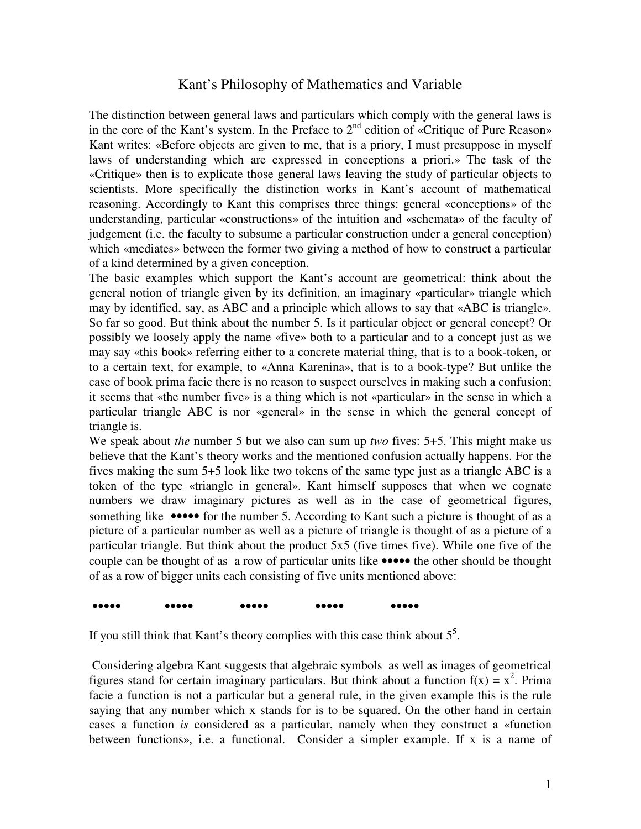## Kant's Philosophy of Mathematics and Variable

The distinction between general laws and particulars which comply with the general laws is in the core of the Kant's system. In the Preface to  $2<sup>nd</sup>$  edition of «Critique of Pure Reason» Kant writes: «Before objects are given to me, that is a priory, I must presuppose in myself laws of understanding which are expressed in conceptions a priori.» The task of the «Critique» then is to explicate those general laws leaving the study of particular objects to scientists. More specifically the distinction works in Kant's account of mathematical reasoning. Accordingly to Kant this comprises three things: general «conceptions» of the understanding, particular «constructions» of the intuition and «schemata» of the faculty of judgement (i.e. the faculty to subsume a particular construction under a general conception) which «mediates» between the former two giving a method of how to construct a particular of a kind determined by a given conception.

The basic examples which support the Kant's account are geometrical: think about the general notion of triangle given by its definition, an imaginary «particular» triangle which may by identified, say, as ABC and a principle which allows to say that «ABC is triangle». So far so good. But think about the number 5. Is it particular object or general concept? Or possibly we loosely apply the name «five» both to a particular and to a concept just as we may say «this book» referring either to a concrete material thing, that is to a book-token, or to a certain text, for example, to «Anna Karenina», that is to a book-type? But unlike the case of book prima facie there is no reason to suspect ourselves in making such a confusion; it seems that «the number five» is a thing which is not «particular» in the sense in which a particular triangle ABC is nor «general» in the sense in which the general concept of triangle is.

We speak about *the* number 5 but we also can sum up *two* fives: 5+5. This might make us believe that the Kant's theory works and the mentioned confusion actually happens. For the fives making the sum 5+5 look like two tokens of the same type just as a triangle ABC is a token of the type «triangle in general». Kant himself supposes that when we cognate numbers we draw imaginary pictures as well as in the case of geometrical figures, something like •••••• for the number 5. According to Kant such a picture is thought of as a picture of a particular number as well as a picture of triangle is thought of as a picture of a particular triangle. But think about the product 5x5 (five times five). While one five of the couple can be thought of as a row of particular units like ••••• the other should be thought of as a row of bigger units each consisting of five units mentioned above:

## ••••• ••••• ••••• ••••• •••••

If you still think that Kant's theory complies with this case think about  $5<sup>5</sup>$ .

 Considering algebra Kant suggests that algebraic symbols as well as images of geometrical figures stand for certain imaginary particulars. But think about a function  $f(x) = x^2$ . Prima facie a function is not a particular but a general rule, in the given example this is the rule saying that any number which x stands for is to be squared. On the other hand in certain cases a function *is* considered as a particular, namely when they construct a «function between functions», i.e. a functional. Consider a simpler example. If x is a name of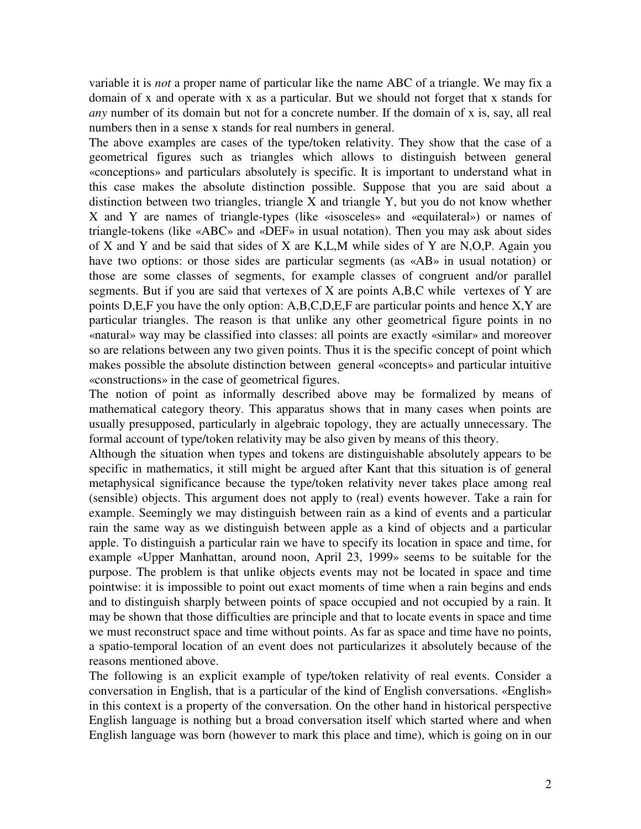variable it is *not* a proper name of particular like the name ABC of a triangle. We may fix a domain of x and operate with x as a particular. But we should not forget that x stands for *any* number of its domain but not for a concrete number. If the domain of x is, say, all real numbers then in a sense x stands for real numbers in general.

The above examples are cases of the type/token relativity. They show that the case of a geometrical figures such as triangles which allows to distinguish between general «conceptions» and particulars absolutely is specific. It is important to understand what in this case makes the absolute distinction possible. Suppose that you are said about a distinction between two triangles, triangle X and triangle Y, but you do not know whether X and Y are names of triangle-types (like «isosceles» and «equilateral») or names of triangle-tokens (like «ABC» and «DEF» in usual notation). Then you may ask about sides of X and Y and be said that sides of X are K,L,M while sides of Y are N,O,P. Again you have two options: or those sides are particular segments (as «AB» in usual notation) or those are some classes of segments, for example classes of congruent and/or parallel segments. But if you are said that vertexes of X are points A,B,C while vertexes of Y are points D,E,F you have the only option: A,B,C,D,E,F are particular points and hence X,Y are particular triangles. The reason is that unlike any other geometrical figure points in no «natural» way may be classified into classes: all points are exactly «similar» and moreover so are relations between any two given points. Thus it is the specific concept of point which makes possible the absolute distinction between general «concepts» and particular intuitive «constructions» in the case of geometrical figures.

The notion of point as informally described above may be formalized by means of mathematical category theory. This apparatus shows that in many cases when points are usually presupposed, particularly in algebraic topology, they are actually unnecessary. The formal account of type/token relativity may be also given by means of this theory.

Although the situation when types and tokens are distinguishable absolutely appears to be specific in mathematics, it still might be argued after Kant that this situation is of general metaphysical significance because the type/token relativity never takes place among real (sensible) objects. This argument does not apply to (real) events however. Take a rain for example. Seemingly we may distinguish between rain as a kind of events and a particular rain the same way as we distinguish between apple as a kind of objects and a particular apple. To distinguish a particular rain we have to specify its location in space and time, for example «Upper Manhattan, around noon, April 23, 1999» seems to be suitable for the purpose. The problem is that unlike objects events may not be located in space and time pointwise: it is impossible to point out exact moments of time when a rain begins and ends and to distinguish sharply between points of space occupied and not occupied by a rain. It may be shown that those difficulties are principle and that to locate events in space and time we must reconstruct space and time without points. As far as space and time have no points, a spatio-temporal location of an event does not particularizes it absolutely because of the reasons mentioned above.

The following is an explicit example of type/token relativity of real events. Consider a conversation in English, that is a particular of the kind of English conversations. «English» in this context is a property of the conversation. On the other hand in historical perspective English language is nothing but a broad conversation itself which started where and when English language was born (however to mark this place and time), which is going on in our